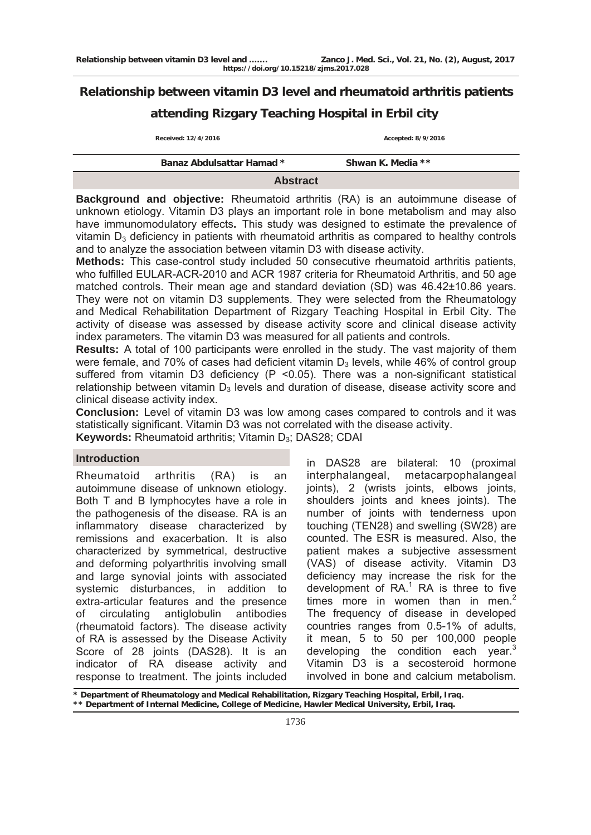# **Relationship between vitamin D3 level and rheumatoid arthritis patients attending Rizgary Teaching Hospital in Erbil city**

**Received: 12/4/2016 Accepted: 8/9/2016** 

| <b>Banaz Abdulsattar Hamad *</b> | Shwan K. Media ** |
|----------------------------------|-------------------|

### **Abstract**

**Background and objective:** Rheumatoid arthritis (RA) is an autoimmune disease of unknown etiology. Vitamin D3 plays an important role in bone metabolism and may also have immunomodulatory effects**.** This study was designed to estimate the prevalence of vitamin  $D_3$  deficiency in patients with rheumatoid arthritis as compared to healthy controls and to analyze the association between vitamin D3 with disease activity.

**Methods:** This case-control study included 50 consecutive rheumatoid arthritis patients, who fulfilled EULAR-ACR-2010 and ACR 1987 criteria for Rheumatoid Arthritis, and 50 age matched controls. Their mean age and standard deviation (SD) was 46.42±10.86 years. They were not on vitamin D3 supplements. They were selected from the Rheumatology and Medical Rehabilitation Department of Rizgary Teaching Hospital in Erbil City. The activity of disease was assessed by disease activity score and clinical disease activity index parameters. The vitamin D3 was measured for all patients and controls.

**Results:** A total of 100 participants were enrolled in the study. The vast majority of them were female, and 70% of cases had deficient vitamin  $D_3$  levels, while 46% of control group suffered from vitamin D3 deficiency (P < 0.05). There was a non-significant statistical relationship between vitamin  $D_3$  levels and duration of disease, disease activity score and clinical disease activity index.

**Conclusion:** Level of vitamin D3 was low among cases compared to controls and it was statistically significant. Vitamin D3 was not correlated with the disease activity. **Keywords:** Rheumatoid arthritis; Vitamin D<sub>3</sub>; DAS28; CDAI

### **Introduction**

Rheumatoid arthritis (RA) is an autoimmune disease of unknown etiology. Both T and B lymphocytes have a role in the pathogenesis of the disease. RA is an inflammatory disease characterized by remissions and exacerbation. It is also characterized by symmetrical, destructive and deforming polyarthritis involving small and large synovial joints with associated systemic disturbances, in addition to extra-articular features and the presence of circulating antiglobulin antibodies (rheumatoid factors). The disease activity of RA is assessed by the Disease Activity Score of 28 joints (DAS28). It is an indicator of RA disease activity and response to treatment. The joints included

in DAS28 are bilateral: 10 (proximal interphalangeal, metacarpophalangeal joints), 2 (wrists joints, elbows joints, shoulders joints and knees joints). The number of joints with tenderness upon touching (TEN28) and swelling (SW28) are counted. The ESR is measured. Also, the patient makes a subjective assessment (VAS) of disease activity. Vitamin D3 deficiency may increase the risk for the development of  $RA$ <sup>1</sup> RA is three to five times more in women than in men. $2$ The frequency of disease in developed countries ranges from 0.5-1% of adults, it mean, 5 to 50 per 100,000 people developing the condition each year.<sup>3</sup> Vitamin D3 is a secosteroid hormone involved in bone and calcium metabolism.

**\* Department of Rheumatology and Medical Rehabilitation, Rizgary Teaching Hospital, Erbil, Iraq. \*\* Department of Internal Medicine, College of Medicine, Hawler Medical University, Erbil, Iraq.**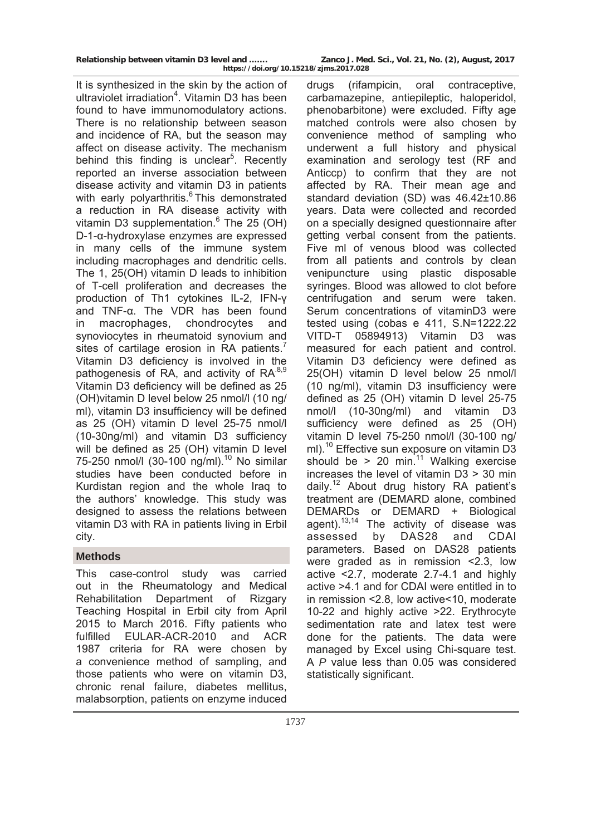| Relationship between vitamin D3 level and | Zanco J. Med. Sci., Vol. 21, No. (2), August, 2017 |  |  |
|-------------------------------------------|----------------------------------------------------|--|--|
| https://doi.org/10.15218/zjms.2017.028    |                                                    |  |  |

It is synthesized in the skin by the action of ultraviolet irradiation<sup>4</sup>. Vitamin D3 has been found to have immunomodulatory actions. There is no relationship between season and incidence of RA, but the season may affect on disease activity. The mechanism behind this finding is unclear<sup>5</sup>. Recently reported an inverse association between disease activity and vitamin D3 in patients with early polyarthritis.<sup>6</sup> This demonstrated a reduction in RA disease activity with vitamin D3 supplementation. $6$  The 25 (OH) D-1-α-hydroxylase enzymes are expressed in many cells of the immune system including macrophages and dendritic cells. The 1, 25(OH) vitamin D leads to inhibition of T-cell proliferation and decreases the production of Th1 cytokines IL-2, IFN-γ and TNF-α. The VDR has been found in macrophages, chondrocytes and synoviocytes in rheumatoid synovium and sites of cartilage erosion in RA patients.<sup>7</sup> Vitamin D3 deficiency is involved in the pathogenesis of RA, and activity of RA.8,9 Vitamin D3 deficiency will be defined as 25 (OH)vitamin D level below 25 nmol/l (10 ng/ ml), vitamin D3 insufficiency will be defined as 25 (OH) vitamin D level 25-75 nmol/l (10-30ng/ml) and vitamin D3 sufficiency will be defined as 25 (OH) vitamin D level 75-250 nmol/l  $(30-100 \text{ ng/ml})^{10}$  No similar studies have been conducted before in Kurdistan region and the whole Iraq to the authors' knowledge. This study was designed to assess the relations between vitamin D3 with RA in patients living in Erbil city.

## **Methods**

This case-control study was carried out in the Rheumatology and Medical Rehabilitation Department of Rizgary Teaching Hospital in Erbil city from April 2015 to March 2016. Fifty patients who fulfilled EULAR-ACR-2010 and ACR 1987 criteria for RA were chosen by a convenience method of sampling, and those patients who were on vitamin D3, chronic renal failure, diabetes mellitus, malabsorption, patients on enzyme induced

drugs (rifampicin, oral contraceptive, carbamazepine, antiepileptic, haloperidol, phenobarbitone) were excluded. Fifty age matched controls were also chosen by convenience method of sampling who underwent a full history and physical examination and serology test (RF and Anticcp) to confirm that they are not affected by RA. Their mean age and standard deviation (SD) was 46.42±10.86 years. Data were collected and recorded on a specially designed questionnaire after getting verbal consent from the patients. Five ml of venous blood was collected from all patients and controls by clean venipuncture using plastic disposable syringes. Blood was allowed to clot before centrifugation and serum were taken. Serum concentrations of vitaminD3 were tested using (cobas e 411, S.N=1222.22 VITD-T 05894913) Vitamin D3 was measured for each patient and control. Vitamin D3 deficiency were defined as 25(OH) vitamin D level below 25 nmol/l (10 ng/ml), vitamin D3 insufficiency were defined as 25 (OH) vitamin D level 25-75 nmol/l (10-30ng/ml) and vitamin D3 sufficiency were defined as 25 (OH) vitamin D level 75-250 nmol/l (30-100 ng/ ml).<sup>10</sup> Effective sun exposure on vitamin D3 should be > 20 min.<sup>11</sup> Walking exercise increases the level of vitamin D3 > 30 min daily.<sup>12</sup> About drug history RA patient's treatment are (DEMARD alone, combined DEMARDs or DEMARD + Biological  $a$ gent).<sup>13,14</sup> The activity of disease was assessed by DAS28 and CDAI parameters. Based on DAS28 patients were graded as in remission <2.3, low active <2.7, moderate 2.7-4.1 and highly active >4.1 and for CDAI were entitled in to in remission <2.8, low active<10, moderate 10-22 and highly active >22. Erythrocyte sedimentation rate and latex test were done for the patients. The data were managed by Excel using Chi-square test. A *P* value less than 0.05 was considered statistically significant.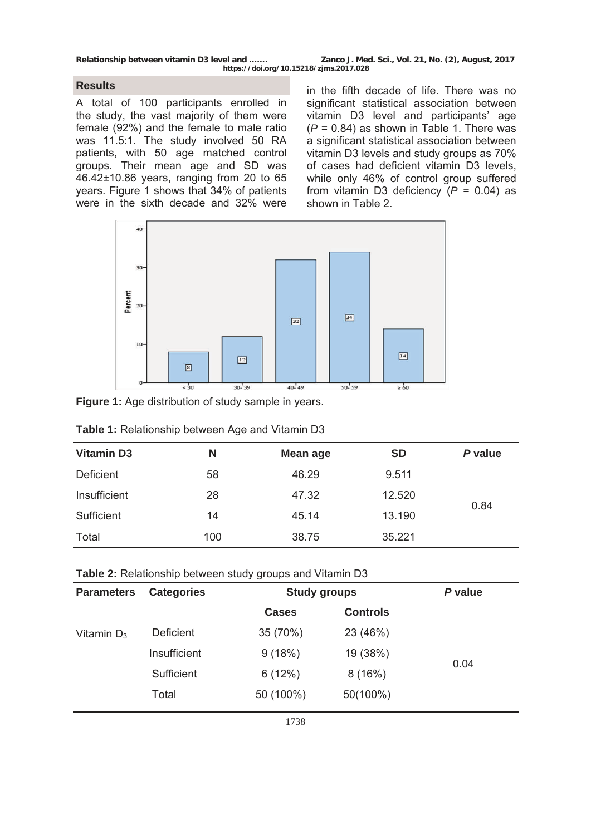**Relationship between vitamin D3 level and ……. Zanco J. Med. Sci., Vol. 21, No. (2), August, 2017 https://doi.org/10.15218/zjms.2017.028**

### **Results**

A total of 100 participants enrolled in the study, the vast majority of them were female (92%) and the female to male ratio was 11.5:1. The study involved 50 RA patients, with 50 age matched control groups. Their mean age and SD was 46.42±10.86 years, ranging from 20 to 65 years. Figure 1 shows that 34% of patients were in the sixth decade and 32% were

in the fifth decade of life. There was no significant statistical association between vitamin D3 level and participants' age (*P* = 0.84) as shown in Table 1. There was a significant statistical association between vitamin D3 levels and study groups as 70% of cases had deficient vitamin D3 levels, while only 46% of control group suffered from vitamin D3 deficiency  $(P = 0.04)$  as shown in Table 2.



**Figure 1:** Age distribution of study sample in years.

| <b>Vitamin D3</b> | N   | Mean age | <b>SD</b> | P value |
|-------------------|-----|----------|-----------|---------|
| Deficient         | 58  | 46.29    | 9.511     |         |
| Insufficient      | 28  | 47.32    | 12.520    |         |
| Sufficient        | 14  | 45.14    | 13.190    | 0.84    |
| Total             | 100 | 38.75    | 35.221    |         |

**Table 1:** Relationship between Age and Vitamin D3

| <b>Parameters</b> | <b>Categories</b> | <b>Study groups</b> |                 | P value |
|-------------------|-------------------|---------------------|-----------------|---------|
|                   |                   | Cases               | <b>Controls</b> |         |
| Vitamin $D_3$     | Deficient         | 35 (70%)            | 23 (46%)        |         |
|                   | Insufficient      | 9(18%)              | 19 (38%)        |         |
|                   | Sufficient        | 6(12%)              | 8(16%)          | 0.04    |
|                   | Total             | 50 (100%)           | 50(100%)        |         |
|                   |                   |                     |                 |         |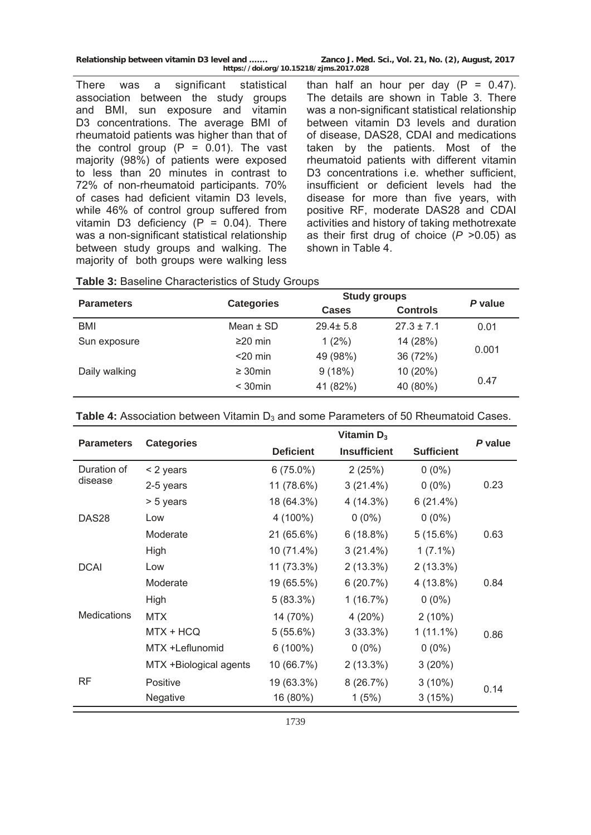**Relationship between vitamin D3 level and ……. Zanco J. Med. Sci., Vol. 21, No. (2), August, 2017 https://doi.org/10.15218/zjms.2017.028**

There was a significant statistical association between the study groups and BMI, sun exposure and vitamin D3 concentrations. The average BMI of rheumatoid patients was higher than that of the control group  $(P = 0.01)$ . The vast majority (98%) of patients were exposed to less than 20 minutes in contrast to 72% of non-rheumatoid participants. 70% of cases had deficient vitamin D3 levels, while 46% of control group suffered from vitamin D3 deficiency ( $P = 0.04$ ). There was a non-significant statistical relationship between study groups and walking. The majority of both groups were walking less

than half an hour per day  $(P = 0.47)$ . The details are shown in Table 3. There was a non-significant statistical relationship between vitamin D3 levels and duration of disease, DAS28, CDAI and medications taken by the patients. Most of the rheumatoid patients with different vitamin D<sub>3</sub> concentrations *i.e.* whether sufficient. insufficient or deficient levels had the disease for more than five years, with positive RF, moderate DAS28 and CDAI activities and history of taking methotrexate as their first drug of choice (*P* >0.05) as shown in Table 4.

|                   |                   | <b>Study groups</b> |                 |         |
|-------------------|-------------------|---------------------|-----------------|---------|
| <b>Parameters</b> | <b>Categories</b> | <b>Cases</b>        | <b>Controls</b> | P value |
| BMI               | Mean $\pm$ SD     | $29.4 \pm 5.8$      | $27.3 \pm 7.1$  | 0.01    |
| Sun exposure      | $\geq$ 20 min     | $1(2\%)$            | 14 (28%)        |         |
|                   | $<$ 20 min        | 49 (98%)            | 36 (72%)        | 0.001   |
| Daily walking     | $\geq 30$ min     | 9(18%)              | 10 (20%)        |         |
|                   | $<$ 30 $min$      | 41 (82%)            | 40 (80%)        | 0.47    |

| <b>Table 3: Baseline Characteristics of Study Groups</b> |  |  |
|----------------------------------------------------------|--|--|
|----------------------------------------------------------|--|--|

|                        | Vitamin $D_3$     |                     |                   | P value |
|------------------------|-------------------|---------------------|-------------------|---------|
|                        | <b>Deficient</b>  | <b>Insufficient</b> | <b>Sufficient</b> |         |
| $<$ 2 years            | $6(75.0\%)$       | 2(25%)              | $0(0\%)$          |         |
| 2-5 years              | 11 (78.6%)        | 3(21.4%)            | $0(0\%)$          | 0.23    |
| > 5 years              | 18 (64.3%)        | 4 (14.3%)           | 6(21.4%)          |         |
| Low                    | 4 (100%)          | $0(0\%)$            | $0(0\%)$          |         |
| Moderate               | 21 (65.6%)        | 6(18.8%)            | 5(15.6%)          | 0.63    |
| High                   | 10 (71.4%)        | 3(21.4%)            | $1(7.1\%)$        |         |
| Low                    | 11 (73.3%)        | $2(13.3\%)$         | $2(13.3\%)$       |         |
| Moderate               | 19 (65.5%)        | 6(20.7%)            | 4 (13.8%)         | 0.84    |
| High                   | 5(83.3%)          | 1(16.7%)            | $0(0\%)$          |         |
| <b>MTX</b>             | 14 (70%)          | 4(20%)              | $2(10\%)$         |         |
| MTX + HCQ              | 5(55.6%)          | 3(33.3%)            | $1(11.1\%)$       | 0.86    |
| MTX +Leflunomid        | $6(100\%)$        | $0(0\%)$            | $0(0\%)$          |         |
| MTX +Biological agents | 10 (66.7%)        | $2(13.3\%)$         | 3(20%)            |         |
| <b>Positive</b>        | 19 (63.3%)        | 8(26.7%)            | $3(10\%)$         |         |
| Negative               | 16 (80%)          | 1(5%)               | 3(15%)            | 0.14    |
|                        | <b>Categories</b> |                     |                   |         |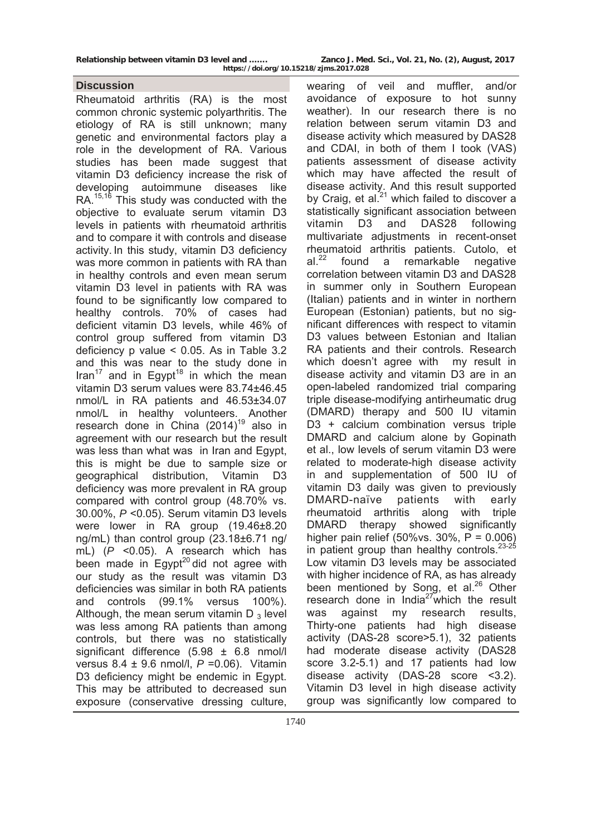### **Discussion**

Rheumatoid arthritis (RA) is the most common chronic systemic polyarthritis. The etiology of RA is still unknown; many genetic and environmental factors play a role in the development of RA. Various studies has been made suggest that vitamin D3 deficiency increase the risk of developing autoimmune diseases like RA.<sup>15,16</sup> This study was conducted with the objective to evaluate serum vitamin D3 levels in patients with rheumatoid arthritis and to compare it with controls and disease activity. In this study, vitamin D3 deficiency was more common in patients with RA than in healthy controls and even mean serum vitamin D3 level in patients with RA was found to be significantly low compared to healthy controls. 70% of cases had deficient vitamin D3 levels, while 46% of control group suffered from vitamin D3 deficiency p value < 0.05. As in Table 3.2 and this was near to the study done in Iran<sup>17</sup> and in Egypt<sup>18</sup> in which the mean vitamin D3 serum values were 83.74±46.45 nmol/L in RA patients and 46.53±34.07 nmol/L in healthy volunteers. Another research done in China  $(2014)^{19}$  also in agreement with our research but the result was less than what was in Iran and Egypt, this is might be due to sample size or geographical distribution, Vitamin D3 deficiency was more prevalent in RA group compared with control group (48.70% vs. 30.00%, *P* <0.05). Serum vitamin D3 levels were lower in RA group (19.46±8.20 ng/mL) than control group (23.18±6.71 ng/ mL) (*P* <0.05). A research which has been made in  $\text{Equation}^{20}$  did not agree with our study as the result was vitamin D3 deficiencies was similar in both RA patients and controls (99.1% versus 100%). Although, the mean serum vitamin  $D_3$  level was less among RA patients than among controls, but there was no statistically significant difference (5.98 ± 6.8 nmol/l versus 8.4 ± 9.6 nmol/l, *P* =0.06). Vitamin D3 deficiency might be endemic in Egypt. This may be attributed to decreased sun exposure (conservative dressing culture,

wearing of veil and muffler, and/or avoidance of exposure to hot sunny weather). In our research there is no relation between serum vitamin D3 and disease activity which measured by DAS28 and CDAI, in both of them I took (VAS) patients assessment of disease activity which may have affected the result of disease activity. And this result supported by Craig, et al. $^{21}$  which failed to discover a statistically significant association between vitamin D3 and DAS28 following multivariate adjustments in recent-onset rheumatoid arthritis patients. Cutolo, et  $al.<sup>22</sup>$  found a remarkable negative correlation between vitamin D3 and DAS28 in summer only in Southern European (Italian) patients and in winter in northern European (Estonian) patients, but no significant differences with respect to vitamin D<sub>3</sub> values between Estonian and Italian RA patients and their controls. Research which doesn't agree with my result in disease activity and vitamin D3 are in an open-labeled randomized trial comparing triple disease-modifying antirheumatic drug (DMARD) therapy and 500 IU vitamin D3 + calcium combination versus triple DMARD and calcium alone by Gopinath et al., low levels of serum vitamin D3 were related to moderate-high disease activity in and supplementation of 500 IU of vitamin D3 daily was given to previously DMARD-naïve patients with early rheumatoid arthritis along with triple DMARD therapy showed significantly higher pain relief (50% vs.  $30\%$ ,  $P = 0.006$ ) in patient group than healthy controls.  $23-25$ Low vitamin D3 levels may be associated with higher incidence of RA, as has already been mentioned by Song, et al. $^{26}$  Other research done in  $India^{27}$ which the result was against my research results, Thirty-one patients had high disease activity (DAS-28 score>5.1), 32 patients had moderate disease activity (DAS28 score 3.2-5.1) and 17 patients had low disease activity (DAS-28 score <3.2). Vitamin D3 level in high disease activity group was significantly low compared to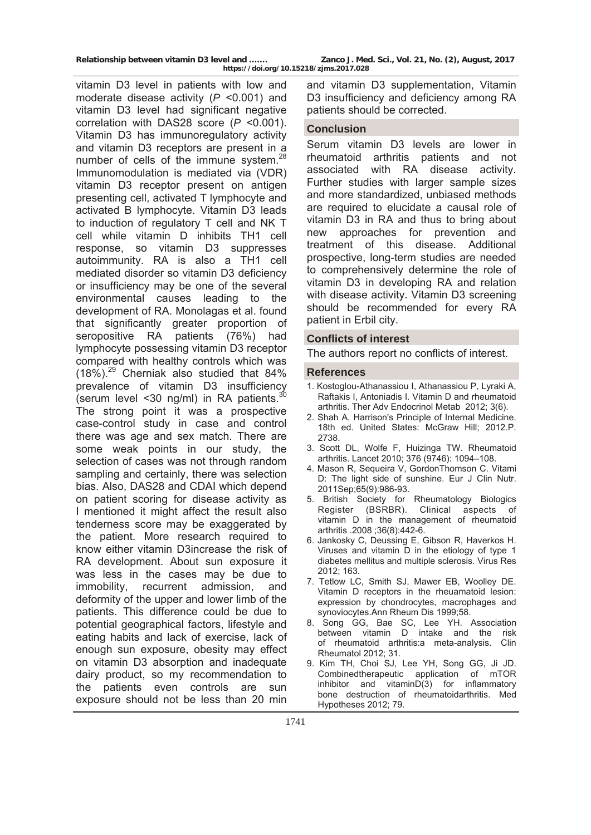| Relationship between vitamin D3 level and | Zanco J. Med. Sci., Vol. 21, No. (2), August, 2017 |
|-------------------------------------------|----------------------------------------------------|
| https://doi.org/10.15218/zjms.2017.028    |                                                    |

vitamin D3 level in patients with low and moderate disease activity (*P* <0.001) and vitamin D3 level had significant negative correlation with DAS28 score (*P* <0.001). Vitamin D3 has immunoregulatory activity and vitamin D3 receptors are present in a number of cells of the immune system.<sup>28</sup> Immunomodulation is mediated via (VDR) vitamin D3 receptor present on antigen presenting cell, activated T lymphocyte and activated B lymphocyte. Vitamin D3 leads to induction of regulatory T cell and NK T cell while vitamin D inhibits TH1 cell response, so vitamin D3 suppresses autoimmunity. RA is also a TH1 cell mediated disorder so vitamin D3 deficiency or insufficiency may be one of the several environmental causes leading to the development of RA. Monolagas et al. found that significantly greater proportion of seropositive RA patients (76%) had lymphocyte possessing vitamin D3 receptor compared with healthy controls which was  $(18\%)$ <sup>29</sup> Cherniak also studied that 84% prevalence of vitamin D3 insufficiency (serum level <30 ng/ml) in RA patients. $30$ The strong point it was a prospective case-control study in case and control there was age and sex match. There are some weak points in our study, the selection of cases was not through random sampling and certainly, there was selection bias. Also, DAS28 and CDAI which depend on patient scoring for disease activity as I mentioned it might affect the result also tenderness score may be exaggerated by the patient. More research required to know either vitamin D3increase the risk of RA development. About sun exposure it was less in the cases may be due to immobility, recurrent admission, and deformity of the upper and lower limb of the patients. This difference could be due to potential geographical factors, lifestyle and eating habits and lack of exercise, lack of enough sun exposure, obesity may effect on vitamin D3 absorption and inadequate dairy product, so my recommendation to the patients even controls are sun exposure should not be less than 20 min

and vitamin D3 supplementation, Vitamin D3 insufficiency and deficiency among RA patients should be corrected.

### **Conclusion**

Serum vitamin D3 levels are lower in rheumatoid arthritis patients and not associated with RA disease activity. Further studies with larger sample sizes and more standardized, unbiased methods are required to elucidate a causal role of vitamin D3 in RA and thus to bring about new approaches for prevention and treatment of this disease. Additional prospective, long-term studies are needed to comprehensively determine the role of vitamin D3 in developing RA and relation with disease activity. Vitamin D3 screening should be recommended for every RA patient in Erbil city.

### **Conflicts of interest**

The authors report no conflicts of interest.

#### **References**

- 1. Kostoglou-Athanassiou I, Athanassiou P, Lyraki A, Raftakis I, Antoniadis I. Vitamin D and rheumatoid arthritis. Ther Adv Endocrinol Metab 2012; 3(6).
- 2. Shah A. Harrison's Principle of Internal Medicine. 18th ed. United States: McGraw Hill; 2012.P. 2738.
- 3. Scott DL, Wolfe F, Huizinga TW. Rheumatoid arthritis. Lancet 2010; 376 (9746): 1094–108.
- 4. Mason R, Sequeira V, GordonThomson C. Vitami D: The light side of sunshine. Eur J Clin Nutr. 2011Sep;65(9):986-93.
- 5. British Society for Rheumatology Biologics Register (BSRBR). Clinical aspects of vitamin D in the management of rheumatoid arthritis .2008 ;36(8):442-6.
- 6. Jankosky C, Deussing E, Gibson R, Haverkos H. Viruses and vitamin D in the etiology of type 1 diabetes mellitus and multiple sclerosis. Virus Res 2012; 163.
- 7. Tetlow LC, Smith SJ, Mawer EB, Woolley DE. Vitamin D receptors in the rheuamatoid lesion: expression by chondrocytes, macrophages and synoviocytes.Ann Rheum Dis 1999;58.
- 8. Song GG, Bae SC, Lee YH. Association between vitamin D intake and the risk of rheumatoid arthritis:a meta-analysis. Clin Rheumatol 2012; 31.
- 9. Kim TH, Choi SJ, Lee YH, Song GG, Ji JD. Combinedtherapeutic application of mTOR inhibitor and vitaminD(3) for inflammatory bone destruction of rheumatoidarthritis. Med Hypotheses 2012; 79.